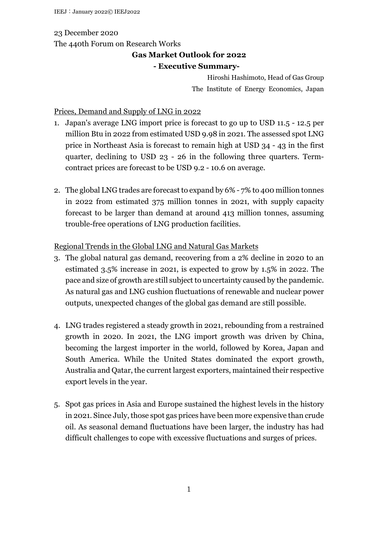### 23 December 2020

The 440th Forum on Research Works

# **Gas Market Outlook for 2022**

### **- Executive Summary-**

Hiroshi Hashimoto, Head of Gas Group The Institute of Energy Economics, Japan

### Prices, Demand and Supply of LNG in 2022

- 1. Japan's average LNG import price is forecast to go up to USD 11.5 12.5 per million Btu in 2022 from estimated USD 9.98 in 2021. The assessed spot LNG price in Northeast Asia is forecast to remain high at USD 34 - 43 in the first quarter, declining to USD 23 - 26 in the following three quarters. Termcontract prices are forecast to be USD 9.2 - 10.6 on average.
- 2. The global LNG trades are forecast to expand by 6% 7% to 400 million tonnes in 2022 from estimated 375 million tonnes in 2021, with supply capacity forecast to be larger than demand at around 413 million tonnes, assuming trouble-free operations of LNG production facilities.

# Regional Trends in the Global LNG and Natural Gas Markets

- 3. The global natural gas demand, recovering from a 2% decline in 2020 to an estimated 3.5% increase in 2021, is expected to grow by 1.5% in 2022. The pace and size of growth are still subject to uncertainty caused by the pandemic. As natural gas and LNG cushion fluctuations of renewable and nuclear power outputs, unexpected changes of the global gas demand are still possible.
- 4. LNG trades registered a steady growth in 2021, rebounding from a restrained growth in 2020. In 2021, the LNG import growth was driven by China, becoming the largest importer in the world, followed by Korea, Japan and South America. While the United States dominated the export growth, Australia and Qatar, the current largest exporters, maintained their respective export levels in the year.
- 5. Spot gas prices in Asia and Europe sustained the highest levels in the history in 2021. Since July, those spot gas prices have been more expensive than crude oil. As seasonal demand fluctuations have been larger, the industry has had difficult challenges to cope with excessive fluctuations and surges of prices.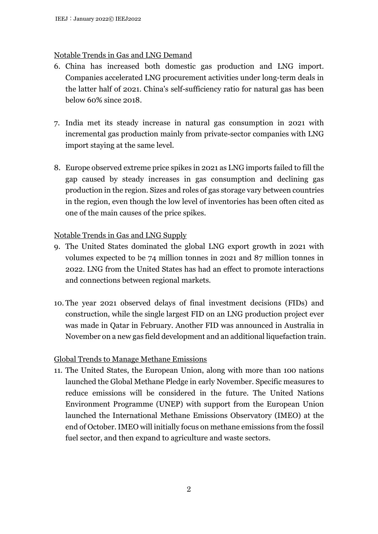# Notable Trends in Gas and LNG Demand

- 6. China has increased both domestic gas production and LNG import. Companies accelerated LNG procurement activities under long-term deals in the latter half of 2021. China's self-sufficiency ratio for natural gas has been below 60% since 2018.
- 7. India met its steady increase in natural gas consumption in 2021 with incremental gas production mainly from private-sector companies with LNG import staying at the same level.
- 8. Europe observed extreme price spikes in 2021 as LNG imports failed to fill the gap caused by steady increases in gas consumption and declining gas production in the region. Sizes and roles of gas storage vary between countries in the region, even though the low level of inventories has been often cited as one of the main causes of the price spikes.

# Notable Trends in Gas and LNG Supply

- 9. The United States dominated the global LNG export growth in 2021 with volumes expected to be 74 million tonnes in 2021 and 87 million tonnes in 2022. LNG from the United States has had an effect to promote interactions and connections between regional markets.
- 10. The year 2021 observed delays of final investment decisions (FIDs) and construction, while the single largest FID on an LNG production project ever was made in Qatar in February. Another FID was announced in Australia in November on a new gas field development and an additional liquefaction train.

# Global Trends to Manage Methane Emissions

11. The United States, the European Union, along with more than 100 nations launched the Global Methane Pledge in early November. Specific measures to reduce emissions will be considered in the future. The United Nations Environment Programme (UNEP) with support from the European Union launched the International Methane Emissions Observatory (IMEO) at the end of October. IMEO will initially focus on methane emissions from the fossil fuel sector, and then expand to agriculture and waste sectors.